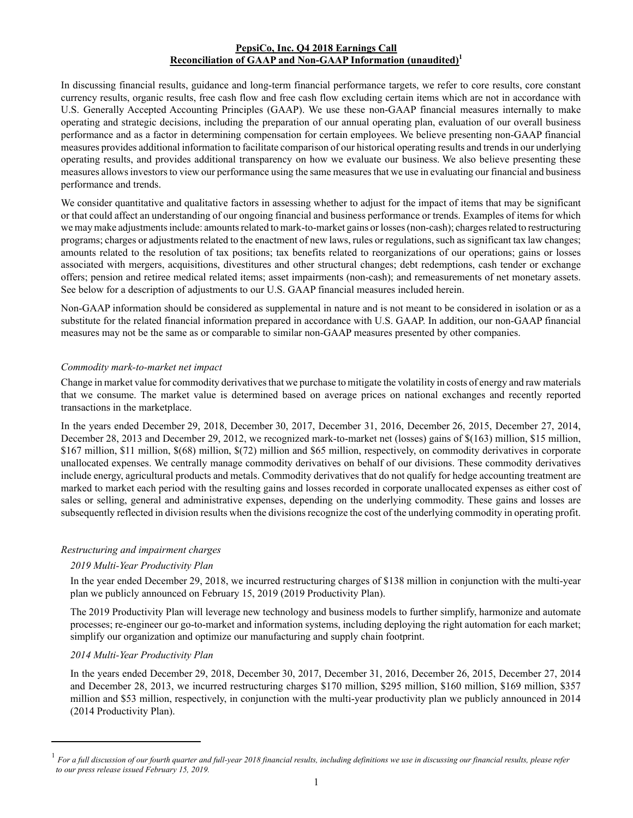## **PepsiCo, Inc. Q4 2018 Earnings Call Reconciliation of GAAP and Non-GAAP Information (unaudited)<sup>1</sup>**

In discussing financial results, guidance and long-term financial performance targets, we refer to core results, core constant currency results, organic results, free cash flow and free cash flow excluding certain items which are not in accordance with U.S. Generally Accepted Accounting Principles (GAAP). We use these non-GAAP financial measures internally to make operating and strategic decisions, including the preparation of our annual operating plan, evaluation of our overall business performance and as a factor in determining compensation for certain employees. We believe presenting non-GAAP financial measures provides additional information to facilitate comparison of our historical operating results and trends in our underlying operating results, and provides additional transparency on how we evaluate our business. We also believe presenting these measures allows investors to view our performance using the same measures that we use in evaluating our financial and business performance and trends.

We consider quantitative and qualitative factors in assessing whether to adjust for the impact of items that may be significant or that could affect an understanding of our ongoing financial and business performance or trends. Examples of items for which we may make adjustments include: amounts related to mark-to-market gains or losses (non-cash); charges related to restructuring programs; charges or adjustments related to the enactment of new laws, rules or regulations, such as significant tax law changes; amounts related to the resolution of tax positions; tax benefits related to reorganizations of our operations; gains or losses associated with mergers, acquisitions, divestitures and other structural changes; debt redemptions, cash tender or exchange offers; pension and retiree medical related items; asset impairments (non-cash); and remeasurements of net monetary assets. See below for a description of adjustments to our U.S. GAAP financial measures included herein.

Non-GAAP information should be considered as supplemental in nature and is not meant to be considered in isolation or as a substitute for the related financial information prepared in accordance with U.S. GAAP. In addition, our non-GAAP financial measures may not be the same as or comparable to similar non-GAAP measures presented by other companies.

## *Commodity mark-to-market net impact*

Change in market value for commodity derivatives that we purchase to mitigate the volatility in costs of energy and raw materials that we consume. The market value is determined based on average prices on national exchanges and recently reported transactions in the marketplace.

In the years ended December 29, 2018, December 30, 2017, December 31, 2016, December 26, 2015, December 27, 2014, December 28, 2013 and December 29, 2012, we recognized mark-to-market net (losses) gains of \$(163) million, \$15 million, \$167 million, \$11 million, \$(68) million, \$(72) million and \$65 million, respectively, on commodity derivatives in corporate unallocated expenses. We centrally manage commodity derivatives on behalf of our divisions. These commodity derivatives include energy, agricultural products and metals. Commodity derivatives that do not qualify for hedge accounting treatment are marked to market each period with the resulting gains and losses recorded in corporate unallocated expenses as either cost of sales or selling, general and administrative expenses, depending on the underlying commodity. These gains and losses are subsequently reflected in division results when the divisions recognize the cost of the underlying commodity in operating profit.

## *Restructuring and impairment charges*

## *2019 Multi-Year Productivity Plan*

In the year ended December 29, 2018, we incurred restructuring charges of \$138 million in conjunction with the multi-year plan we publicly announced on February 15, 2019 (2019 Productivity Plan).

The 2019 Productivity Plan will leverage new technology and business models to further simplify, harmonize and automate processes; re-engineer our go-to-market and information systems, including deploying the right automation for each market; simplify our organization and optimize our manufacturing and supply chain footprint.

## *2014 Multi-Year Productivity Plan*

In the years ended December 29, 2018, December 30, 2017, December 31, 2016, December 26, 2015, December 27, 2014 and December 28, 2013, we incurred restructuring charges \$170 million, \$295 million, \$160 million, \$169 million, \$357 million and \$53 million, respectively, in conjunction with the multi-year productivity plan we publicly announced in 2014 (2014 Productivity Plan).

<sup>1</sup> *For a full discussion of our fourth quarter and full-year 2018 financial results, including definitions we use in discussing our financial results, please refer to our press release issued February 15, 2019.*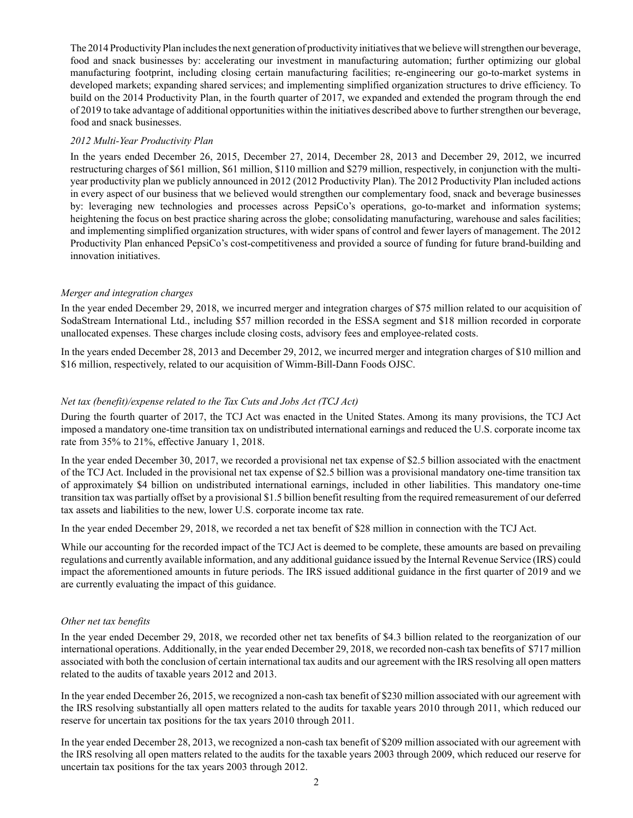The 2014 Productivity Plan includes the next generation of productivity initiatives that we believe will strengthen our beverage, food and snack businesses by: accelerating our investment in manufacturing automation; further optimizing our global manufacturing footprint, including closing certain manufacturing facilities; re-engineering our go-to-market systems in developed markets; expanding shared services; and implementing simplified organization structures to drive efficiency. To build on the 2014 Productivity Plan, in the fourth quarter of 2017, we expanded and extended the program through the end of 2019 to take advantage of additional opportunities within the initiatives described above to further strengthen our beverage, food and snack businesses.

## *2012 Multi-Year Productivity Plan*

In the years ended December 26, 2015, December 27, 2014, December 28, 2013 and December 29, 2012, we incurred restructuring charges of \$61 million, \$61 million, \$110 million and \$279 million, respectively, in conjunction with the multiyear productivity plan we publicly announced in 2012 (2012 Productivity Plan). The 2012 Productivity Plan included actions in every aspect of our business that we believed would strengthen our complementary food, snack and beverage businesses by: leveraging new technologies and processes across PepsiCo's operations, go-to-market and information systems; heightening the focus on best practice sharing across the globe; consolidating manufacturing, warehouse and sales facilities; and implementing simplified organization structures, with wider spans of control and fewer layers of management. The 2012 Productivity Plan enhanced PepsiCo's cost-competitiveness and provided a source of funding for future brand-building and innovation initiatives.

## *Merger and integration charges*

In the year ended December 29, 2018, we incurred merger and integration charges of \$75 million related to our acquisition of SodaStream International Ltd., including \$57 million recorded in the ESSA segment and \$18 million recorded in corporate unallocated expenses. These charges include closing costs, advisory fees and employee-related costs.

In the years ended December 28, 2013 and December 29, 2012, we incurred merger and integration charges of \$10 million and \$16 million, respectively, related to our acquisition of Wimm-Bill-Dann Foods OJSC.

## *Net tax (benefit)/expense related to the Tax Cuts and Jobs Act (TCJ Act)*

During the fourth quarter of 2017, the TCJ Act was enacted in the United States. Among its many provisions, the TCJ Act imposed a mandatory one-time transition tax on undistributed international earnings and reduced the U.S. corporate income tax rate from 35% to 21%, effective January 1, 2018.

In the year ended December 30, 2017, we recorded a provisional net tax expense of \$2.5 billion associated with the enactment of the TCJ Act. Included in the provisional net tax expense of \$2.5 billion was a provisional mandatory one-time transition tax of approximately \$4 billion on undistributed international earnings, included in other liabilities. This mandatory one-time transition tax was partially offset by a provisional \$1.5 billion benefit resulting from the required remeasurement of our deferred tax assets and liabilities to the new, lower U.S. corporate income tax rate.

In the year ended December 29, 2018, we recorded a net tax benefit of \$28 million in connection with the TCJ Act.

While our accounting for the recorded impact of the TCJ Act is deemed to be complete, these amounts are based on prevailing regulations and currently available information, and any additional guidance issued by the Internal Revenue Service (IRS) could impact the aforementioned amounts in future periods. The IRS issued additional guidance in the first quarter of 2019 and we are currently evaluating the impact of this guidance.

## *Other net tax benefits*

In the year ended December 29, 2018, we recorded other net tax benefits of \$4.3 billion related to the reorganization of our international operations. Additionally, in the year ended December 29, 2018, we recorded non-cash tax benefits of \$717 million associated with both the conclusion of certain international tax audits and our agreement with the IRS resolving all open matters related to the audits of taxable years 2012 and 2013.

In the year ended December 26, 2015, we recognized a non-cash tax benefit of \$230 million associated with our agreement with the IRS resolving substantially all open matters related to the audits for taxable years 2010 through 2011, which reduced our reserve for uncertain tax positions for the tax years 2010 through 2011.

In the year ended December 28, 2013, we recognized a non-cash tax benefit of \$209 million associated with our agreement with the IRS resolving all open matters related to the audits for the taxable years 2003 through 2009, which reduced our reserve for uncertain tax positions for the tax years 2003 through 2012.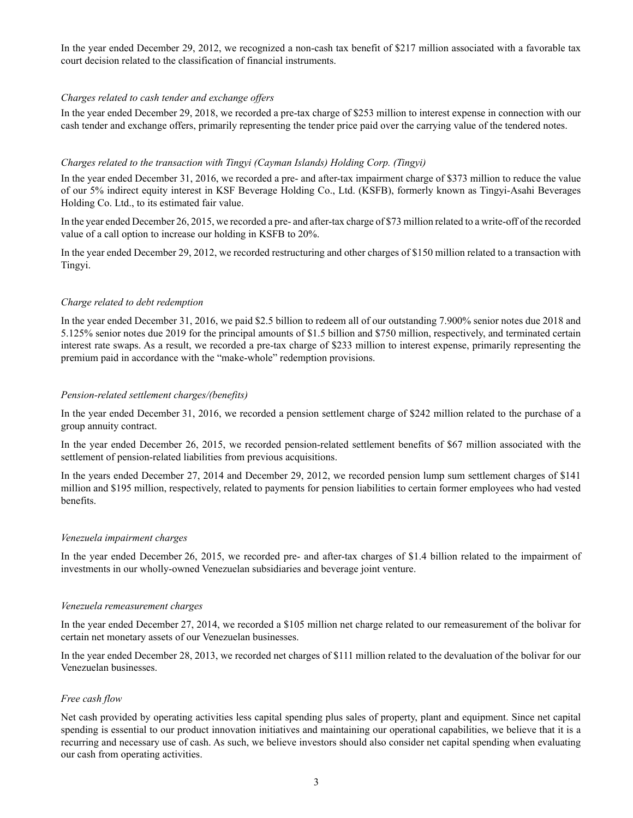In the year ended December 29, 2012, we recognized a non-cash tax benefit of \$217 million associated with a favorable tax court decision related to the classification of financial instruments.

### *Charges related to cash tender and exchange offers*

In the year ended December 29, 2018, we recorded a pre-tax charge of \$253 million to interest expense in connection with our cash tender and exchange offers, primarily representing the tender price paid over the carrying value of the tendered notes.

### *Charges related to the transaction with Tingyi (Cayman Islands) Holding Corp. (Tingyi)*

In the year ended December 31, 2016, we recorded a pre- and after-tax impairment charge of \$373 million to reduce the value of our 5% indirect equity interest in KSF Beverage Holding Co., Ltd. (KSFB), formerly known as Tingyi-Asahi Beverages Holding Co. Ltd., to its estimated fair value.

In the year ended December 26, 2015, we recorded a pre- and after-tax charge of \$73 million related to a write-off of the recorded value of a call option to increase our holding in KSFB to 20%.

In the year ended December 29, 2012, we recorded restructuring and other charges of \$150 million related to a transaction with Tingyi.

### *Charge related to debt redemption*

In the year ended December 31, 2016, we paid \$2.5 billion to redeem all of our outstanding 7.900% senior notes due 2018 and 5.125% senior notes due 2019 for the principal amounts of \$1.5 billion and \$750 million, respectively, and terminated certain interest rate swaps. As a result, we recorded a pre-tax charge of \$233 million to interest expense, primarily representing the premium paid in accordance with the "make-whole" redemption provisions.

### *Pension-related settlement charges/(benefits)*

In the year ended December 31, 2016, we recorded a pension settlement charge of \$242 million related to the purchase of a group annuity contract.

In the year ended December 26, 2015, we recorded pension-related settlement benefits of \$67 million associated with the settlement of pension-related liabilities from previous acquisitions.

In the years ended December 27, 2014 and December 29, 2012, we recorded pension lump sum settlement charges of \$141 million and \$195 million, respectively, related to payments for pension liabilities to certain former employees who had vested benefits.

#### *Venezuela impairment charges*

In the year ended December 26, 2015, we recorded pre- and after-tax charges of \$1.4 billion related to the impairment of investments in our wholly-owned Venezuelan subsidiaries and beverage joint venture.

### *Venezuela remeasurement charges*

In the year ended December 27, 2014, we recorded a \$105 million net charge related to our remeasurement of the bolivar for certain net monetary assets of our Venezuelan businesses.

In the year ended December 28, 2013, we recorded net charges of \$111 million related to the devaluation of the bolivar for our Venezuelan businesses.

## *Free cash flow*

Net cash provided by operating activities less capital spending plus sales of property, plant and equipment. Since net capital spending is essential to our product innovation initiatives and maintaining our operational capabilities, we believe that it is a recurring and necessary use of cash. As such, we believe investors should also consider net capital spending when evaluating our cash from operating activities.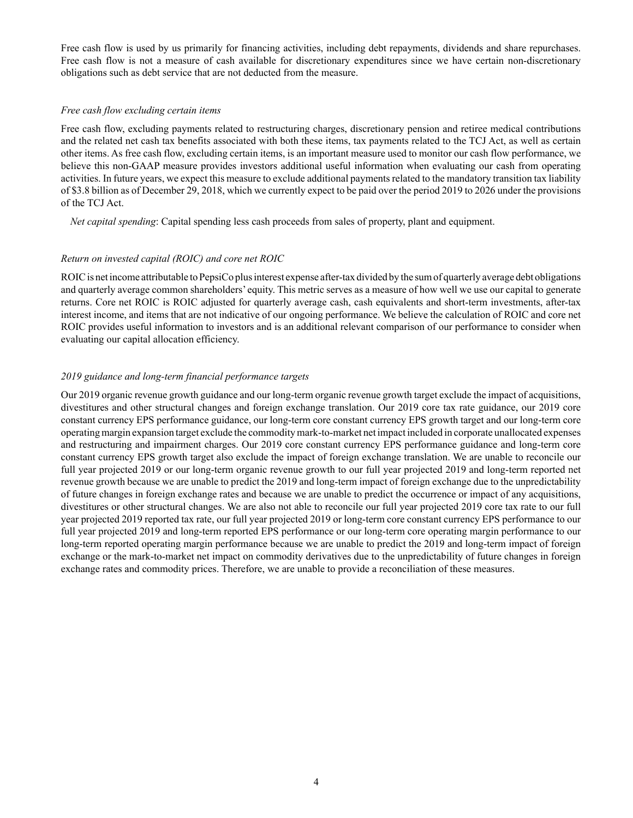Free cash flow is used by us primarily for financing activities, including debt repayments, dividends and share repurchases. Free cash flow is not a measure of cash available for discretionary expenditures since we have certain non-discretionary obligations such as debt service that are not deducted from the measure.

#### *Free cash flow excluding certain items*

Free cash flow, excluding payments related to restructuring charges, discretionary pension and retiree medical contributions and the related net cash tax benefits associated with both these items, tax payments related to the TCJ Act, as well as certain other items. As free cash flow, excluding certain items, is an important measure used to monitor our cash flow performance, we believe this non-GAAP measure provides investors additional useful information when evaluating our cash from operating activities. In future years, we expect this measure to exclude additional payments related to the mandatory transition tax liability of \$3.8 billion as of December 29, 2018, which we currently expect to be paid over the period 2019 to 2026 under the provisions of the TCJ Act.

*Net capital spending*: Capital spending less cash proceeds from sales of property, plant and equipment.

### *Return on invested capital (ROIC) and core net ROIC*

ROIC is net income attributable to PepsiCo plus interest expense after-tax divided by the sum of quarterly average debt obligations and quarterly average common shareholders' equity. This metric serves as a measure of how well we use our capital to generate returns. Core net ROIC is ROIC adjusted for quarterly average cash, cash equivalents and short-term investments, after-tax interest income, and items that are not indicative of our ongoing performance. We believe the calculation of ROIC and core net ROIC provides useful information to investors and is an additional relevant comparison of our performance to consider when evaluating our capital allocation efficiency.

## *2019 guidance and long-term financial performance targets*

Our 2019 organic revenue growth guidance and our long-term organic revenue growth target exclude the impact of acquisitions, divestitures and other structural changes and foreign exchange translation. Our 2019 core tax rate guidance, our 2019 core constant currency EPS performance guidance, our long-term core constant currency EPS growth target and our long-term core operating margin expansion target exclude the commodity mark-to-market net impact included in corporate unallocated expenses and restructuring and impairment charges. Our 2019 core constant currency EPS performance guidance and long-term core constant currency EPS growth target also exclude the impact of foreign exchange translation. We are unable to reconcile our full year projected 2019 or our long-term organic revenue growth to our full year projected 2019 and long-term reported net revenue growth because we are unable to predict the 2019 and long-term impact of foreign exchange due to the unpredictability of future changes in foreign exchange rates and because we are unable to predict the occurrence or impact of any acquisitions, divestitures or other structural changes. We are also not able to reconcile our full year projected 2019 core tax rate to our full year projected 2019 reported tax rate, our full year projected 2019 or long-term core constant currency EPS performance to our full year projected 2019 and long-term reported EPS performance or our long-term core operating margin performance to our long-term reported operating margin performance because we are unable to predict the 2019 and long-term impact of foreign exchange or the mark-to-market net impact on commodity derivatives due to the unpredictability of future changes in foreign exchange rates and commodity prices. Therefore, we are unable to provide a reconciliation of these measures.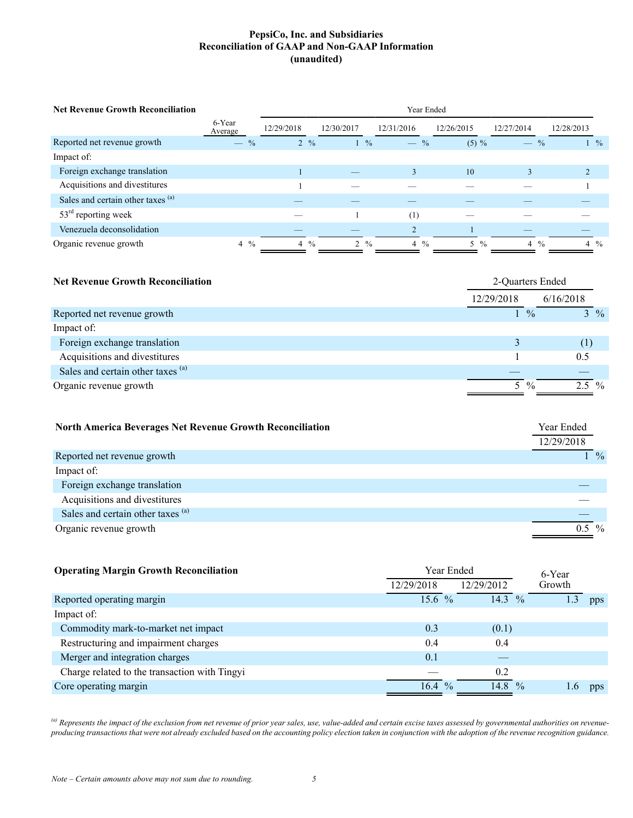# **PepsiCo, Inc. and Subsidiaries Reconciliation of GAAP and Non-GAAP Information (unaudited)**

| <b>Net Revenue Growth Reconciliation</b> | Year Ended                                |                 |                               |                |                    |                |                |  |  |  |
|------------------------------------------|-------------------------------------------|-----------------|-------------------------------|----------------|--------------------|----------------|----------------|--|--|--|
|                                          | 6-Year<br>Average                         | 12/29/2018      | 12/30/2017                    | 12/31/2016     | 12/26/2015         | 12/27/2014     | 12/28/2013     |  |  |  |
| Reported net revenue growth              | $\overline{\phantom{0}}$<br>$\frac{0}{0}$ | $2 \frac{9}{6}$ | $\frac{0}{0}$<br>$\mathbf{1}$ | $-$ %          | $(5) \%$           | $-$ %          | $\frac{9}{6}$  |  |  |  |
| Impact of:                               |                                           |                 |                               |                |                    |                |                |  |  |  |
| Foreign exchange translation             |                                           |                 |                               | $\mathcal{E}$  | 10                 |                |                |  |  |  |
| Acquisitions and divestitures            |                                           |                 |                               |                |                    |                |                |  |  |  |
| Sales and certain other taxes (a)        |                                           |                 |                               |                |                    |                |                |  |  |  |
| $53rd$ reporting week                    |                                           |                 |                               | (1)            |                    |                |                |  |  |  |
| Venezuela deconsolidation                |                                           |                 |                               |                |                    |                |                |  |  |  |
| Organic revenue growth                   | $\frac{0}{0}$<br>$\overline{4}$           | $4\frac{9}{6}$  | $2 \frac{9}{6}$               | $4\frac{9}{6}$ | $\frac{0}{0}$<br>5 | $4\frac{6}{6}$ | $4\frac{9}{6}$ |  |  |  |

| <b>Net Revenue Growth Reconciliation</b> | 2-Quarters Ended |                |           |                 |  |  |
|------------------------------------------|------------------|----------------|-----------|-----------------|--|--|
|                                          | 12/29/2018       |                | 6/16/2018 |                 |  |  |
| Reported net revenue growth              |                  | $\frac{0}{0}$  |           | $3 \frac{9}{6}$ |  |  |
| Impact of:                               |                  |                |           |                 |  |  |
| Foreign exchange translation             |                  |                | (1)       |                 |  |  |
| Acquisitions and divestitures            |                  |                | 0.5       |                 |  |  |
| Sales and certain other taxes (a)        |                  |                |           |                 |  |  |
| Organic revenue growth                   |                  | $5\frac{6}{6}$ | $2.5\%$   |                 |  |  |

| <b>North America Beverages Net Revenue Growth Reconciliation</b> | Year Ended |                 |
|------------------------------------------------------------------|------------|-----------------|
|                                                                  | 12/29/2018 |                 |
| Reported net revenue growth                                      |            | $1 \frac{9}{6}$ |
| Impact of:                                                       |            |                 |
| Foreign exchange translation                                     |            |                 |
| Acquisitions and divestitures                                    |            |                 |
| Sales and certain other taxes (a)                                |            |                 |
| Organic revenue growth                                           | $0.5\%$    |                 |

| <b>Operating Margin Growth Reconciliation</b> |            | Year Ended    |            | 6-Year        |        |     |
|-----------------------------------------------|------------|---------------|------------|---------------|--------|-----|
|                                               | 12/29/2018 |               | 12/29/2012 |               | Growth |     |
| Reported operating margin                     | $15.6\%$   |               | 14.3 $%$   |               | .3     | pps |
| Impact of:                                    |            |               |            |               |        |     |
| Commodity mark-to-market net impact           | 0.3        |               | (0.1)      |               |        |     |
| Restructuring and impairment charges          | 0.4        |               | 0.4        |               |        |     |
| Merger and integration charges                | 0.1        |               |            |               |        |     |
| Charge related to the transaction with Tingyi |            |               | 0.2        |               |        |     |
| Core operating margin                         | 16.4       | $\frac{0}{0}$ | 14.8       | $\frac{0}{0}$ |        | pps |

*(a) Represents the impact of the exclusion from net revenue of prior year sales, use, value-added and certain excise taxes assessed by governmental authorities on revenueproducing transactions that were not already excluded based on the accounting policy election taken in conjunction with the adoption of the revenue recognition guidance.*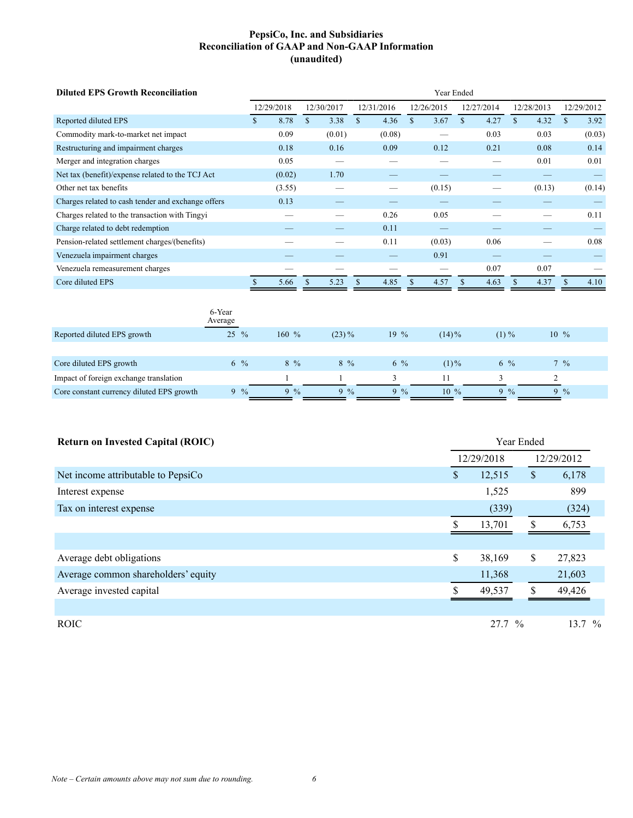# **PepsiCo, Inc. and Subsidiaries Reconciliation of GAAP and Non-GAAP Information (unaudited)**

| <b>Diluted EPS Growth Reconciliation</b>           |                     | Year Ended |     |            |    |            |              |            |             |            |              |            |        |            |
|----------------------------------------------------|---------------------|------------|-----|------------|----|------------|--------------|------------|-------------|------------|--------------|------------|--------|------------|
|                                                    |                     | 12/29/2018 |     | 12/30/2017 |    | 12/31/2016 |              | 12/26/2015 |             | 12/27/2014 |              | 12/28/2013 |        | 12/29/2012 |
| Reported diluted EPS                               |                     | 8.78<br>\$ | \$  | 3.38       | \$ | 4.36       | $\mathbf{s}$ | 3.67       | $\mathbf S$ | 4.27       | $\mathbb{S}$ | 4.32       | \$     | 3.92       |
| Commodity mark-to-market net impact                |                     | 0.09       |     | (0.01)     |    | (0.08)     |              |            |             | 0.03       |              | 0.03       |        | (0.03)     |
| Restructuring and impairment charges               |                     | 0.18       |     | 0.16       |    | 0.09       |              | 0.12       |             | 0.21       |              | 0.08       |        | 0.14       |
| Merger and integration charges                     |                     | 0.05       |     |            |    |            |              |            |             |            |              | 0.01       |        | 0.01       |
| Net tax (benefit)/expense related to the TCJ Act   |                     | (0.02)     |     | 1.70       |    |            |              |            |             |            |              |            |        |            |
| Other net tax benefits                             |                     | (3.55)     |     |            |    |            |              | (0.15)     |             |            |              | (0.13)     |        | (0.14)     |
| Charges related to cash tender and exchange offers |                     | 0.13       |     |            |    |            |              |            |             |            |              |            |        |            |
| Charges related to the transaction with Tingyi     |                     |            |     |            |    | 0.26       |              | 0.05       |             |            |              |            |        | 0.11       |
| Charge related to debt redemption                  |                     |            |     |            |    | 0.11       |              |            |             |            |              |            |        |            |
| Pension-related settlement charges/(benefits)      |                     |            |     |            |    | 0.11       |              | (0.03)     |             | 0.06       |              |            |        | 0.08       |
| Venezuela impairment charges                       |                     |            |     |            |    |            |              | 0.91       |             |            |              |            |        |            |
| Venezuela remeasurement charges                    |                     |            |     |            |    |            |              |            |             | 0.07       |              | 0.07       |        |            |
| Core diluted EPS                                   |                     | 5.66       | \$. | 5.23       | S  | 4.85       | \$.          | 4.57       | \$.         | 4.63       | S.           | 4.37       | \$     | 4.10       |
|                                                    | 6-Year<br>Average   |            |     |            |    |            |              |            |             |            |              |            |        |            |
| Reported diluted EPS growth                        | 25<br>$\frac{0}{0}$ | $160 \%$   |     | $(23)\%$   |    | $19\%$     |              | $(14)\%$   |             | $(1) \%$   |              |            | $10\%$ |            |

| Core diluted EPS growth                   | $6\frac{9}{6}$ | 8 %           | $8\%$ | $6\frac{6}{10}$ | $(1)\%$ | 6 %           | $\frac{9}{6}$ |
|-------------------------------------------|----------------|---------------|-------|-----------------|---------|---------------|---------------|
| Impact of foreign exchange translation    |                |               |       |                 |         |               |               |
| Core constant currency diluted EPS growth | $\frac{0}{2}$  | $\frac{6}{6}$ | $9\%$ | $9\%$           | $10\%$  | $\frac{0}{2}$ | $9\%$         |

| <b>Return on Invested Capital (ROIC)</b> | Year Ended |        |     |            |  |  |  |  |
|------------------------------------------|------------|--------|-----|------------|--|--|--|--|
|                                          | 12/29/2018 |        |     | 12/29/2012 |  |  |  |  |
| Net income attributable to PepsiCo       | \$         | 12,515 | \$  | 6,178      |  |  |  |  |
| Interest expense                         |            | 1,525  |     | 899        |  |  |  |  |
| Tax on interest expense                  |            | (339)  |     | (324)      |  |  |  |  |
|                                          | ς          | 13,701 |     | 6,753      |  |  |  |  |
|                                          |            |        |     |            |  |  |  |  |
| Average debt obligations                 | \$         | 38,169 | \$  | 27,823     |  |  |  |  |
| Average common shareholders' equity      |            | 11,368 |     | 21,603     |  |  |  |  |
| Average invested capital                 | \$         | 49,537 | \$. | 49,426     |  |  |  |  |
|                                          |            |        |     |            |  |  |  |  |
| <b>ROIC</b>                              |            | 27.7 % |     | $13.7\%$   |  |  |  |  |